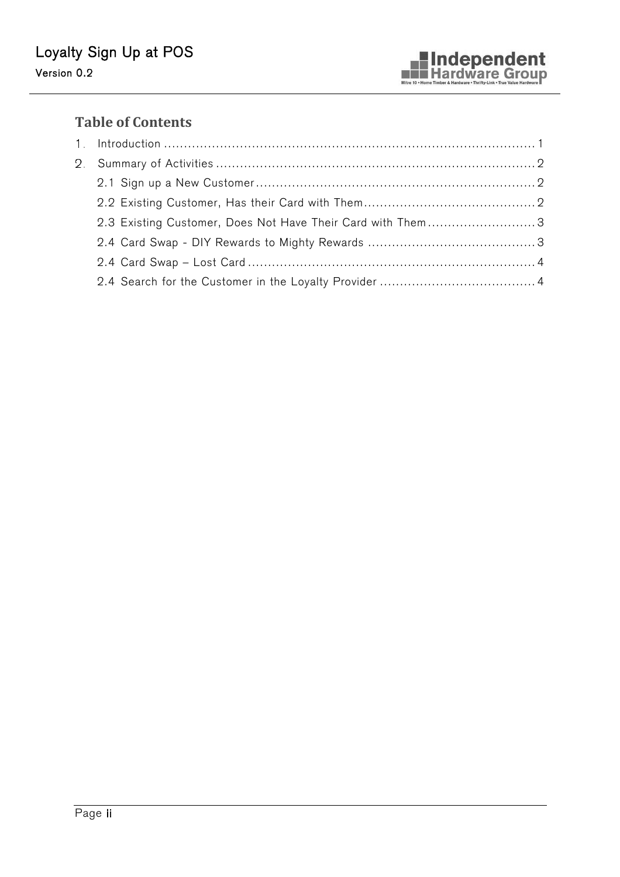# **Table of Contents**

| 2.3 Existing Customer, Does Not Have Their Card with Them3 |  |
|------------------------------------------------------------|--|
|                                                            |  |
|                                                            |  |
|                                                            |  |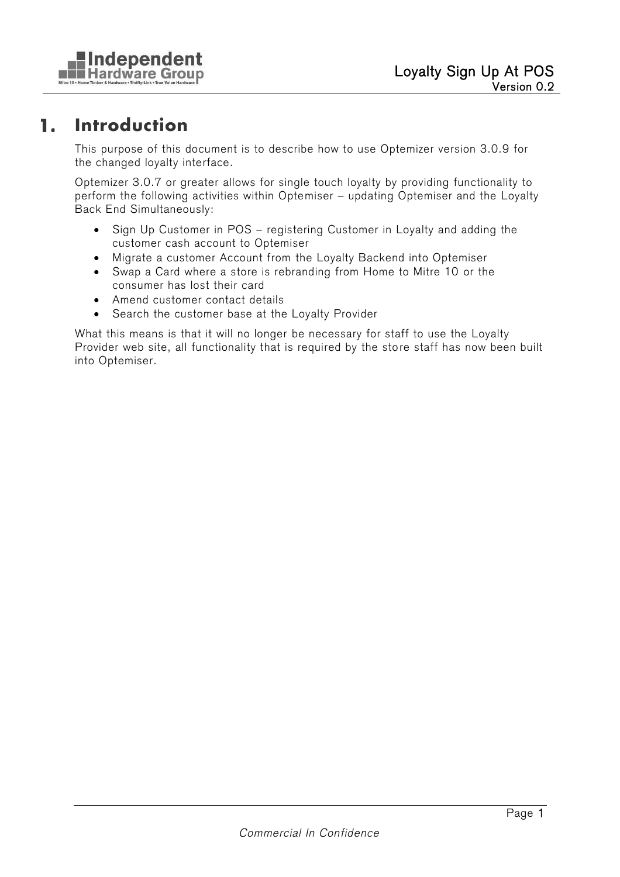

#### **Introduction**  1.

This purpose of this document is to describe how to use Optemizer version 3.0.9 for the changed loyalty interface.

Optemizer 3.0.7 or greater allows for single touch loyalty by providing functionality to perform the following activities within Optemiser – updating Optemiser and the Loyalty Back End Simultaneously:

- Sign Up Customer in POS registering Customer in Loyalty and adding the customer cash account to Optemiser
- · Migrate a customer Account from the Loyalty Backend into Optemiser
- · Swap a Card where a store is rebranding from Home to Mitre 10 or the consumer has lost their card
- · Amend customer contact details
- · Search the customer base at the Loyalty Provider

What this means is that it will no longer be necessary for staff to use the Loyalty Provider web site, all functionality that is required by the store staff has now been built into Optemiser.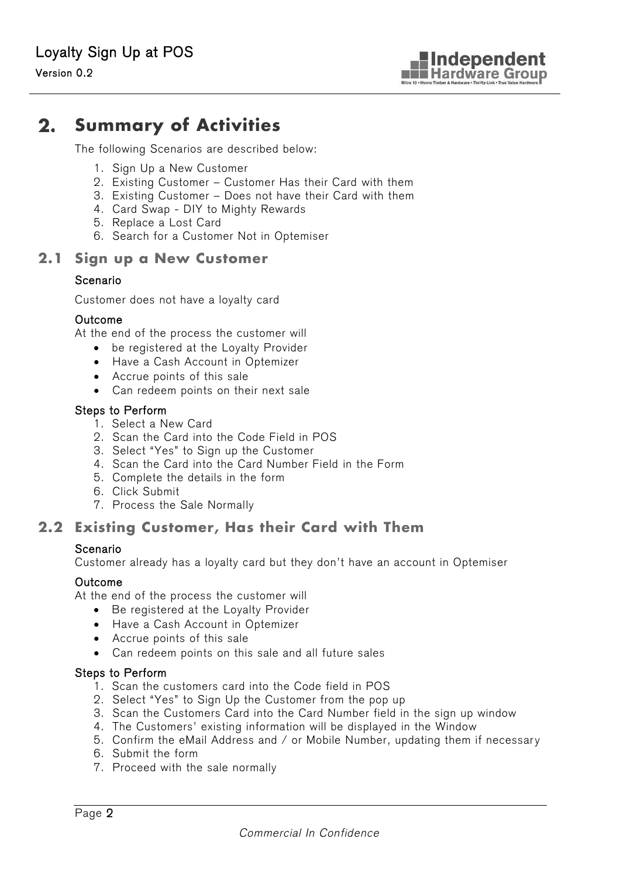#### $2.$ **Summary of Activities**

The following Scenarios are described below:

- 1. Sign Up a New Customer
- 2. Existing Customer Customer Has their Card with them
- 3. Existing Customer Does not have their Card with them
- 4. Card Swap DIY to Mighty Rewards
- 5. Replace a Lost Card
- 6. Search for a Customer Not in Optemiser

### **2.1 Sign up a New Customer**

### Scenario

Customer does not have a loyalty card

#### Outcome

At the end of the process the customer will

- · be registered at the Loyalty Provider
- · Have a Cash Account in Optemizer
- · Accrue points of this sale
- · Can redeem points on their next sale

#### Steps to Perform

- 1. Select a New Card
- 2. Scan the Card into the Code Field in POS
- 3. Select "Yes" to Sign up the Customer
- 4. Scan the Card into the Card Number Field in the Form
- 5. Complete the details in the form
- 6. Click Submit
- 7. Process the Sale Normally

## **2.2 Existing Customer, Has their Card with Them**

### Scenario

Customer already has a loyalty card but they don't have an account in Optemiser

#### Outcome

At the end of the process the customer will

- · Be registered at the Loyalty Provider
- · Have a Cash Account in Optemizer
- · Accrue points of this sale
- · Can redeem points on this sale and all future sales

#### Steps to Perform

- 1. Scan the customers card into the Code field in POS
- 2. Select "Yes" to Sign Up the Customer from the pop up
- 3. Scan the Customers Card into the Card Number field in the sign up window
- 4. The Customers' existing information will be displayed in the Window
- 5. Confirm the eMail Address and / or Mobile Number, updating them if necessary
- 6. Submit the form
- 7. Proceed with the sale normally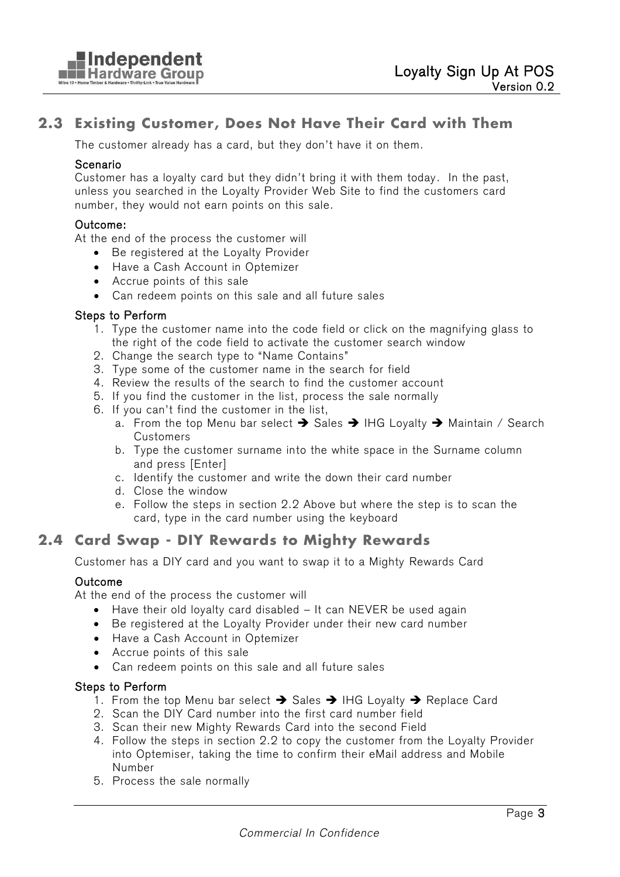# **2.3 Existing Customer, Does Not Have Their Card with Them**

The customer already has a card, but they don't have it on them.

#### Scenario

Customer has a loyalty card but they didn't bring it with them today . In the past, unless you searched in the Loyalty Provider Web Site to find the customers card number, they would not earn points on this sale.

#### Outcome:

At the end of the process the customer will

- · Be registered at the Loyalty Provider
- · Have a Cash Account in Optemizer
- · Accrue points of this sale
- · Can redeem points on this sale and all future sales

#### Steps to Perform

- 1. Type the customer name into the code field or click on the magnifying glass to the right of the code field to activate the customer search window
- 2. Change the search type to "Name Contains"
- 3. Type some of the customer name in the search for field
- 4. Review the results of the search to find the customer account
- 5. If you find the customer in the list, process the sale normally
- 6. If you can't find the customer in the list,
	- a. From the top Menu bar select  $\rightarrow$  Sales  $\rightarrow$  IHG Loyalty  $\rightarrow$  Maintain / Search Customers
	- b. Type the customer surname into the white space in the Surname column and press [Enter]
	- c. Identify the customer and write the down their card number
	- d. Close the window
	- e. Follow the steps in section 2.2 Above but where the step is to scan the card, type in the card number using the keyboard

## **2.4 Card Swap - DIY Rewards to Mighty Rewards**

Customer has a DIY card and you want to swap it to a Mighty Rewards Card

### Outcome

At the end of the process the customer will

- Have their old loyalty card disabled It can NEVER be used again
- · Be registered at the Loyalty Provider under their new card number
- · Have a Cash Account in Optemizer
- · Accrue points of this sale
- · Can redeem points on this sale and all future sales

### Steps to Perform

- 1. From the top Menu bar select  $\rightarrow$  Sales  $\rightarrow$  IHG Loyalty  $\rightarrow$  Replace Card
- 2. Scan the DIY Card number into the first card number field
- 3. Scan their new Mighty Rewards Card into the second Field
- 4. Follow the steps in section 2.2 to copy the customer from the Loyalty Provider into Optemiser, taking the time to confirm their eMail address and Mobile Number
- 5. Process the sale normally